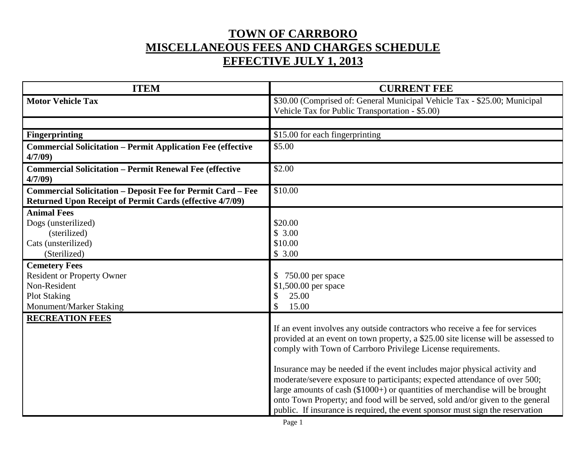## **TOWN OF CARRBORO MISCELLANEOUS FEES AND CHARGES SCHEDULE EFFECTIVE JULY 1, 2013**

| <b>ITEM</b>                                                                                                                           | <b>CURRENT FEE</b>                                                                                                                                                                                                                                                                                                                                                                                                                                                                                                                                                                                                                            |
|---------------------------------------------------------------------------------------------------------------------------------------|-----------------------------------------------------------------------------------------------------------------------------------------------------------------------------------------------------------------------------------------------------------------------------------------------------------------------------------------------------------------------------------------------------------------------------------------------------------------------------------------------------------------------------------------------------------------------------------------------------------------------------------------------|
| <b>Motor Vehicle Tax</b>                                                                                                              | \$30.00 (Comprised of: General Municipal Vehicle Tax - \$25.00; Municipal<br>Vehicle Tax for Public Transportation - \$5.00)                                                                                                                                                                                                                                                                                                                                                                                                                                                                                                                  |
|                                                                                                                                       |                                                                                                                                                                                                                                                                                                                                                                                                                                                                                                                                                                                                                                               |
| <b>Fingerprinting</b>                                                                                                                 | \$15.00 for each fingerprinting                                                                                                                                                                                                                                                                                                                                                                                                                                                                                                                                                                                                               |
| <b>Commercial Solicitation - Permit Application Fee (effective</b><br>4/7/09                                                          | \$5.00                                                                                                                                                                                                                                                                                                                                                                                                                                                                                                                                                                                                                                        |
| <b>Commercial Solicitation - Permit Renewal Fee (effective</b><br>4/7/09                                                              | \$2.00                                                                                                                                                                                                                                                                                                                                                                                                                                                                                                                                                                                                                                        |
| <b>Commercial Solicitation - Deposit Fee for Permit Card - Fee</b><br><b>Returned Upon Receipt of Permit Cards (effective 4/7/09)</b> | \$10.00                                                                                                                                                                                                                                                                                                                                                                                                                                                                                                                                                                                                                                       |
| <b>Animal Fees</b><br>Dogs (unsterilized)<br>(sterilized)<br>Cats (unsterilized)<br>(Sterilized)                                      | \$20.00<br>\$3.00<br>\$10.00<br>\$3.00                                                                                                                                                                                                                                                                                                                                                                                                                                                                                                                                                                                                        |
| <b>Cemetery Fees</b><br><b>Resident or Property Owner</b><br>Non-Resident<br><b>Plot Staking</b><br>Monument/Marker Staking           | 750.00 per space<br>$\mathbb{S}$<br>\$1,500.00 per space<br>\$<br>25.00<br>\$<br>15.00                                                                                                                                                                                                                                                                                                                                                                                                                                                                                                                                                        |
| <b>RECREATION FEES</b>                                                                                                                | If an event involves any outside contractors who receive a fee for services<br>provided at an event on town property, a \$25.00 site license will be assessed to<br>comply with Town of Carrboro Privilege License requirements.<br>Insurance may be needed if the event includes major physical activity and<br>moderate/severe exposure to participants; expected attendance of over 500;<br>large amounts of cash (\$1000+) or quantities of merchandise will be brought<br>onto Town Property; and food will be served, sold and/or given to the general<br>public. If insurance is required, the event sponsor must sign the reservation |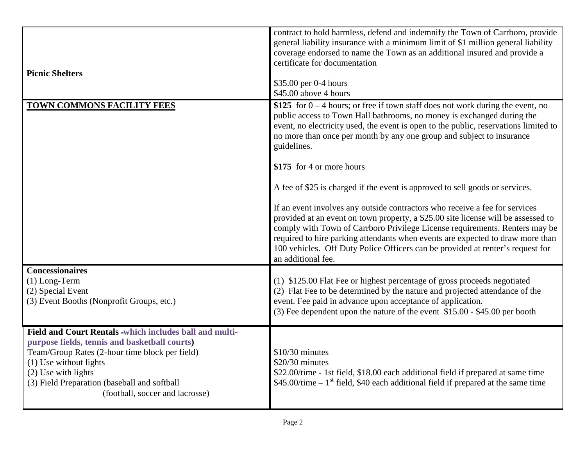| <b>Picnic Shelters</b>                                                                                                                                                                                                                                                                           | contract to hold harmless, defend and indemnify the Town of Carrboro, provide<br>general liability insurance with a minimum limit of \$1 million general liability<br>coverage endorsed to name the Town as an additional insured and provide a<br>certificate for documentation<br>\$35.00 per 0-4 hours<br>\$45.00 above 4 hours                                                                                                                                                                                                                                                                                                                                                                                                                                                                                                                                                                    |
|--------------------------------------------------------------------------------------------------------------------------------------------------------------------------------------------------------------------------------------------------------------------------------------------------|-------------------------------------------------------------------------------------------------------------------------------------------------------------------------------------------------------------------------------------------------------------------------------------------------------------------------------------------------------------------------------------------------------------------------------------------------------------------------------------------------------------------------------------------------------------------------------------------------------------------------------------------------------------------------------------------------------------------------------------------------------------------------------------------------------------------------------------------------------------------------------------------------------|
| TOWN COMMONS FACILITY FEES                                                                                                                                                                                                                                                                       | \$125 for $0 - 4$ hours; or free if town staff does not work during the event, no<br>public access to Town Hall bathrooms, no money is exchanged during the<br>event, no electricity used, the event is open to the public, reservations limited to<br>no more than once per month by any one group and subject to insurance<br>guidelines.<br>\$175 for 4 or more hours<br>A fee of \$25 is charged if the event is approved to sell goods or services.<br>If an event involves any outside contractors who receive a fee for services<br>provided at an event on town property, a \$25.00 site license will be assessed to<br>comply with Town of Carrboro Privilege License requirements. Renters may be<br>required to hire parking attendants when events are expected to draw more than<br>100 vehicles. Off Duty Police Officers can be provided at renter's request for<br>an additional fee. |
| <b>Concessionaires</b><br>$(1)$ Long-Term<br>(2) Special Event<br>(3) Event Booths (Nonprofit Groups, etc.)                                                                                                                                                                                      | (1) \$125.00 Flat Fee or highest percentage of gross proceeds negotiated<br>(2) Flat Fee to be determined by the nature and projected attendance of the<br>event. Fee paid in advance upon acceptance of application.<br>(3) Fee dependent upon the nature of the event \$15.00 - \$45.00 per booth                                                                                                                                                                                                                                                                                                                                                                                                                                                                                                                                                                                                   |
| Field and Court Rentals -which includes ball and multi-<br>purpose fields, tennis and basketball courts)<br>Team/Group Rates (2-hour time block per field)<br>(1) Use without lights<br>$(2)$ Use with lights<br>(3) Field Preparation (baseball and softball<br>(football, soccer and lacrosse) | $$10/30$ minutes<br>\$20/30 minutes<br>\$22.00/time - 1st field, \$18.00 each additional field if prepared at same time<br>$$45.00$ /time – 1 <sup>st</sup> field, \$40 each additional field if prepared at the same time                                                                                                                                                                                                                                                                                                                                                                                                                                                                                                                                                                                                                                                                            |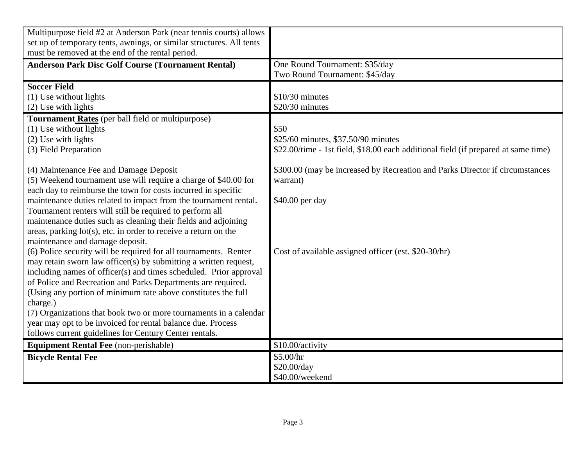| Multipurpose field #2 at Anderson Park (near tennis courts) allows<br>set up of temporary tents, awnings, or similar structures. All tents |                                                                                    |
|--------------------------------------------------------------------------------------------------------------------------------------------|------------------------------------------------------------------------------------|
| must be removed at the end of the rental period.                                                                                           |                                                                                    |
| <b>Anderson Park Disc Golf Course (Tournament Rental)</b>                                                                                  | One Round Tournament: \$35/day                                                     |
|                                                                                                                                            | Two Round Tournament: \$45/day                                                     |
| <b>Soccer Field</b>                                                                                                                        |                                                                                    |
| (1) Use without lights                                                                                                                     | $$10/30$ minutes                                                                   |
| (2) Use with lights                                                                                                                        | $$20/30$ minutes                                                                   |
| Tournament Rates (per ball field or multipurpose)                                                                                          |                                                                                    |
| (1) Use without lights                                                                                                                     | \$50                                                                               |
| $(2)$ Use with lights                                                                                                                      | \$25/60 minutes, \$37.50/90 minutes                                                |
| (3) Field Preparation                                                                                                                      | \$22.00/time - 1st field, \$18.00 each additional field (if prepared at same time) |
|                                                                                                                                            |                                                                                    |
| (4) Maintenance Fee and Damage Deposit                                                                                                     | \$300.00 (may be increased by Recreation and Parks Director if circumstances       |
| (5) Weekend tournament use will require a charge of \$40.00 for                                                                            | warrant)                                                                           |
| each day to reimburse the town for costs incurred in specific                                                                              |                                                                                    |
| maintenance duties related to impact from the tournament rental.                                                                           | \$40.00 per day                                                                    |
| Tournament renters will still be required to perform all                                                                                   |                                                                                    |
| maintenance duties such as cleaning their fields and adjoining                                                                             |                                                                                    |
| areas, parking lot(s), etc. in order to receive a return on the                                                                            |                                                                                    |
| maintenance and damage deposit.                                                                                                            |                                                                                    |
| (6) Police security will be required for all tournaments. Renter                                                                           | Cost of available assigned officer (est. \$20-30/hr)                               |
| may retain sworn law officer(s) by submitting a written request,                                                                           |                                                                                    |
| including names of officer(s) and times scheduled. Prior approval                                                                          |                                                                                    |
| of Police and Recreation and Parks Departments are required.                                                                               |                                                                                    |
| (Using any portion of minimum rate above constitutes the full                                                                              |                                                                                    |
| charge.)                                                                                                                                   |                                                                                    |
| (7) Organizations that book two or more tournaments in a calendar                                                                          |                                                                                    |
| year may opt to be invoiced for rental balance due. Process                                                                                |                                                                                    |
| follows current guidelines for Century Center rentals.                                                                                     |                                                                                    |
| <b>Equipment Rental Fee</b> (non-perishable)                                                                                               | \$10.00/activity                                                                   |
| <b>Bicycle Rental Fee</b>                                                                                                                  | \$5.00/hr                                                                          |
|                                                                                                                                            | \$20.00/day                                                                        |
|                                                                                                                                            | \$40.00/weekend                                                                    |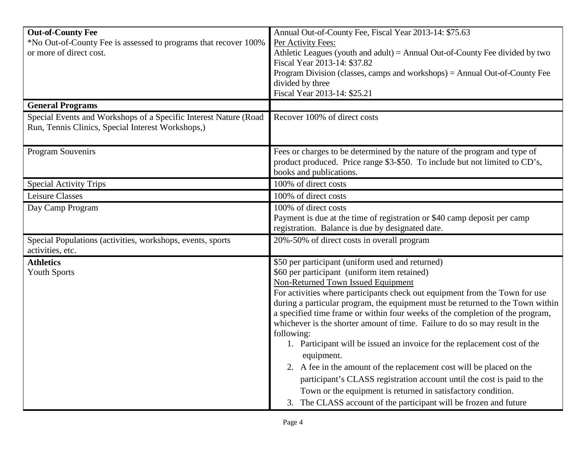| <b>Out-of-County Fee</b><br>*No Out-of-County Fee is assessed to programs that recover 100%<br>or more of direct cost. | Annual Out-of-County Fee, Fiscal Year 2013-14: \$75.63<br>Per Activity Fees:<br>Athletic Leagues (youth and adult) = Annual Out-of-County Fee divided by two<br>Fiscal Year 2013-14: \$37.82<br>Program Division (classes, camps and workshops) = Annual Out-of-County Fee                                                                                                                                                                                                                                                                                                                                                                                                                                                                                                                                                                                             |  |
|------------------------------------------------------------------------------------------------------------------------|------------------------------------------------------------------------------------------------------------------------------------------------------------------------------------------------------------------------------------------------------------------------------------------------------------------------------------------------------------------------------------------------------------------------------------------------------------------------------------------------------------------------------------------------------------------------------------------------------------------------------------------------------------------------------------------------------------------------------------------------------------------------------------------------------------------------------------------------------------------------|--|
|                                                                                                                        | divided by three<br>Fiscal Year 2013-14: \$25.21                                                                                                                                                                                                                                                                                                                                                                                                                                                                                                                                                                                                                                                                                                                                                                                                                       |  |
| <b>General Programs</b>                                                                                                |                                                                                                                                                                                                                                                                                                                                                                                                                                                                                                                                                                                                                                                                                                                                                                                                                                                                        |  |
| Special Events and Workshops of a Specific Interest Nature (Road<br>Run, Tennis Clinics, Special Interest Workshops,)  | Recover 100% of direct costs                                                                                                                                                                                                                                                                                                                                                                                                                                                                                                                                                                                                                                                                                                                                                                                                                                           |  |
| <b>Program Souvenirs</b>                                                                                               | Fees or charges to be determined by the nature of the program and type of<br>product produced. Price range \$3-\$50. To include but not limited to CD's,<br>books and publications.                                                                                                                                                                                                                                                                                                                                                                                                                                                                                                                                                                                                                                                                                    |  |
| <b>Special Activity Trips</b>                                                                                          | 100% of direct costs                                                                                                                                                                                                                                                                                                                                                                                                                                                                                                                                                                                                                                                                                                                                                                                                                                                   |  |
| <b>Leisure Classes</b>                                                                                                 | 100% of direct costs                                                                                                                                                                                                                                                                                                                                                                                                                                                                                                                                                                                                                                                                                                                                                                                                                                                   |  |
| Day Camp Program                                                                                                       | 100% of direct costs<br>Payment is due at the time of registration or \$40 camp deposit per camp<br>registration. Balance is due by designated date.                                                                                                                                                                                                                                                                                                                                                                                                                                                                                                                                                                                                                                                                                                                   |  |
| Special Populations (activities, workshops, events, sports<br>activities, etc.                                         | 20%-50% of direct costs in overall program                                                                                                                                                                                                                                                                                                                                                                                                                                                                                                                                                                                                                                                                                                                                                                                                                             |  |
| <b>Athletics</b><br><b>Youth Sports</b>                                                                                | \$50 per participant (uniform used and returned)<br>\$60 per participant (uniform item retained)<br>Non-Returned Town Issued Equipment<br>For activities where participants check out equipment from the Town for use<br>during a particular program, the equipment must be returned to the Town within<br>a specified time frame or within four weeks of the completion of the program,<br>whichever is the shorter amount of time. Failure to do so may result in the<br>following:<br>1. Participant will be issued an invoice for the replacement cost of the<br>equipment.<br>2. A fee in the amount of the replacement cost will be placed on the<br>participant's CLASS registration account until the cost is paid to the<br>Town or the equipment is returned in satisfactory condition.<br>3. The CLASS account of the participant will be frozen and future |  |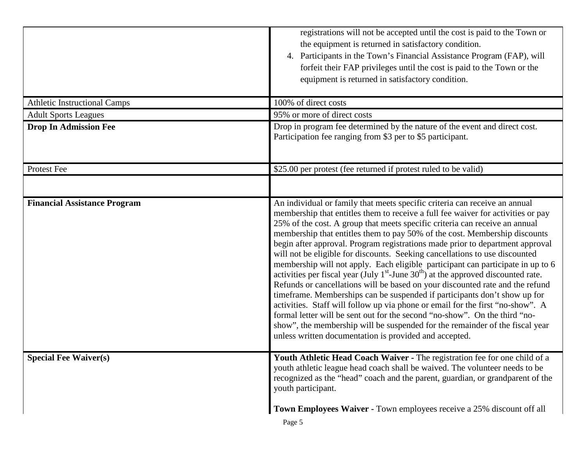|                                     | registrations will not be accepted until the cost is paid to the Town or<br>the equipment is returned in satisfactory condition.<br>4. Participants in the Town's Financial Assistance Program (FAP), will<br>forfeit their FAP privileges until the cost is paid to the Town or the<br>equipment is returned in satisfactory condition.                                                                                                                                                                                                                                                                                                                                                                                                                                                                                                                                                                                                                                                                                                                                                                                                         |
|-------------------------------------|--------------------------------------------------------------------------------------------------------------------------------------------------------------------------------------------------------------------------------------------------------------------------------------------------------------------------------------------------------------------------------------------------------------------------------------------------------------------------------------------------------------------------------------------------------------------------------------------------------------------------------------------------------------------------------------------------------------------------------------------------------------------------------------------------------------------------------------------------------------------------------------------------------------------------------------------------------------------------------------------------------------------------------------------------------------------------------------------------------------------------------------------------|
| <b>Athletic Instructional Camps</b> | 100% of direct costs                                                                                                                                                                                                                                                                                                                                                                                                                                                                                                                                                                                                                                                                                                                                                                                                                                                                                                                                                                                                                                                                                                                             |
| <b>Adult Sports Leagues</b>         | 95% or more of direct costs                                                                                                                                                                                                                                                                                                                                                                                                                                                                                                                                                                                                                                                                                                                                                                                                                                                                                                                                                                                                                                                                                                                      |
| <b>Drop In Admission Fee</b>        | Drop in program fee determined by the nature of the event and direct cost.<br>Participation fee ranging from \$3 per to \$5 participant.                                                                                                                                                                                                                                                                                                                                                                                                                                                                                                                                                                                                                                                                                                                                                                                                                                                                                                                                                                                                         |
| Protest Fee                         | \$25.00 per protest (fee returned if protest ruled to be valid)                                                                                                                                                                                                                                                                                                                                                                                                                                                                                                                                                                                                                                                                                                                                                                                                                                                                                                                                                                                                                                                                                  |
|                                     |                                                                                                                                                                                                                                                                                                                                                                                                                                                                                                                                                                                                                                                                                                                                                                                                                                                                                                                                                                                                                                                                                                                                                  |
| <b>Financial Assistance Program</b> | An individual or family that meets specific criteria can receive an annual<br>membership that entitles them to receive a full fee waiver for activities or pay<br>25% of the cost. A group that meets specific criteria can receive an annual<br>membership that entitles them to pay 50% of the cost. Membership discounts<br>begin after approval. Program registrations made prior to department approval<br>will not be eligible for discounts. Seeking cancellations to use discounted<br>membership will not apply. Each eligible participant can participate in up to 6<br>activities per fiscal year (July $1st$ -June $30th$ ) at the approved discounted rate.<br>Refunds or cancellations will be based on your discounted rate and the refund<br>timeframe. Memberships can be suspended if participants don't show up for<br>activities. Staff will follow up via phone or email for the first "no-show". A<br>formal letter will be sent out for the second "no-show". On the third "no-<br>show", the membership will be suspended for the remainder of the fiscal year<br>unless written documentation is provided and accepted. |
| <b>Special Fee Waiver(s)</b>        | Youth Athletic Head Coach Waiver - The registration fee for one child of a<br>youth athletic league head coach shall be waived. The volunteer needs to be<br>recognized as the "head" coach and the parent, guardian, or grandparent of the<br>youth participant.                                                                                                                                                                                                                                                                                                                                                                                                                                                                                                                                                                                                                                                                                                                                                                                                                                                                                |
|                                     | Town Employees Waiver - Town employees receive a 25% discount off all                                                                                                                                                                                                                                                                                                                                                                                                                                                                                                                                                                                                                                                                                                                                                                                                                                                                                                                                                                                                                                                                            |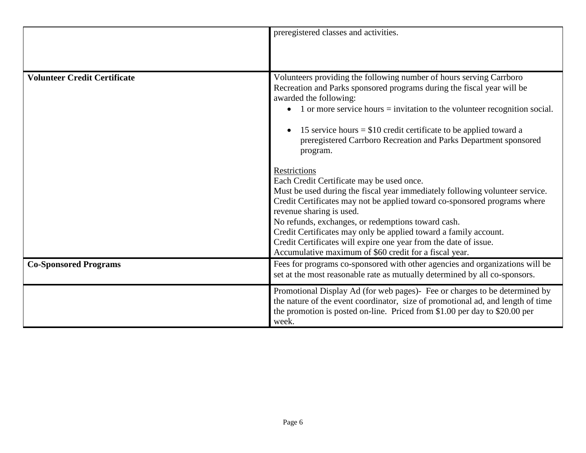|                                     | preregistered classes and activities.                                                                                                                                                                                                                                                                                                                                                                                                                                                                      |
|-------------------------------------|------------------------------------------------------------------------------------------------------------------------------------------------------------------------------------------------------------------------------------------------------------------------------------------------------------------------------------------------------------------------------------------------------------------------------------------------------------------------------------------------------------|
| <b>Volunteer Credit Certificate</b> | Volunteers providing the following number of hours serving Carrboro<br>Recreation and Parks sponsored programs during the fiscal year will be<br>awarded the following:<br>1 or more service hours $=$ invitation to the volunteer recognition social.<br>15 service hours $= $10$ credit certificate to be applied toward a<br>preregistered Carrboro Recreation and Parks Department sponsored<br>program.                                                                                               |
|                                     | Restrictions<br>Each Credit Certificate may be used once.<br>Must be used during the fiscal year immediately following volunteer service.<br>Credit Certificates may not be applied toward co-sponsored programs where<br>revenue sharing is used.<br>No refunds, exchanges, or redemptions toward cash.<br>Credit Certificates may only be applied toward a family account.<br>Credit Certificates will expire one year from the date of issue.<br>Accumulative maximum of \$60 credit for a fiscal year. |
| <b>Co-Sponsored Programs</b>        | Fees for programs co-sponsored with other agencies and organizations will be<br>set at the most reasonable rate as mutually determined by all co-sponsors.                                                                                                                                                                                                                                                                                                                                                 |
|                                     | Promotional Display Ad (for web pages)- Fee or charges to be determined by<br>the nature of the event coordinator, size of promotional ad, and length of time<br>the promotion is posted on-line. Priced from \$1.00 per day to \$20.00 per<br>week.                                                                                                                                                                                                                                                       |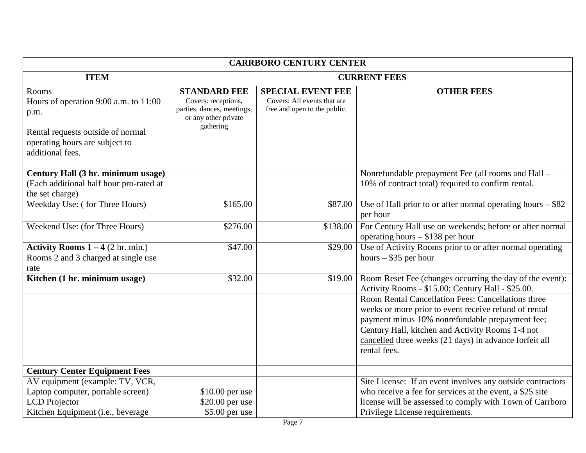| <b>CARRBORO CENTURY CENTER</b>                                                                                                                    |                                                                                                               |                                                                                         |                                                                                                                                                                                                                                                                                              |  |
|---------------------------------------------------------------------------------------------------------------------------------------------------|---------------------------------------------------------------------------------------------------------------|-----------------------------------------------------------------------------------------|----------------------------------------------------------------------------------------------------------------------------------------------------------------------------------------------------------------------------------------------------------------------------------------------|--|
| <b>ITEM</b>                                                                                                                                       | <b>CURRENT FEES</b>                                                                                           |                                                                                         |                                                                                                                                                                                                                                                                                              |  |
| Rooms<br>Hours of operation 9:00 a.m. to 11:00<br>p.m.<br>Rental requests outside of normal<br>operating hours are subject to<br>additional fees. | <b>STANDARD FEE</b><br>Covers: receptions,<br>parties, dances, meetings,<br>or any other private<br>gathering | <b>SPECIAL EVENT FEE</b><br>Covers: All events that are<br>free and open to the public. | <b>OTHER FEES</b>                                                                                                                                                                                                                                                                            |  |
| Century Hall (3 hr. minimum usage)<br>(Each additional half hour pro-rated at<br>the set charge)                                                  |                                                                                                               |                                                                                         | Nonrefundable prepayment Fee (all rooms and Hall -<br>10% of contract total) required to confirm rental.                                                                                                                                                                                     |  |
| Weekday Use: (for Three Hours)                                                                                                                    | \$165.00                                                                                                      | \$87.00                                                                                 | Use of Hall prior to or after normal operating hours $-$ \$82<br>per hour                                                                                                                                                                                                                    |  |
| Weekend Use: (for Three Hours)                                                                                                                    | \$276.00                                                                                                      | \$138.00                                                                                | For Century Hall use on weekends; before or after normal<br>operating hours $- $138$ per hour                                                                                                                                                                                                |  |
| <b>Activity Rooms <math>1 - 4</math></b> (2 hr. min.)<br>Rooms 2 and 3 charged at single use<br>rate                                              | \$47.00                                                                                                       | \$29.00                                                                                 | Use of Activity Rooms prior to or after normal operating<br>hours $-$ \$35 per hour                                                                                                                                                                                                          |  |
| Kitchen (1 hr. minimum usage)                                                                                                                     | \$32.00                                                                                                       | \$19.00                                                                                 | Room Reset Fee (changes occurring the day of the event):<br>Activity Rooms - \$15.00; Century Hall - \$25.00.                                                                                                                                                                                |  |
|                                                                                                                                                   |                                                                                                               |                                                                                         | Room Rental Cancellation Fees: Cancellations three<br>weeks or more prior to event receive refund of rental<br>payment minus 10% nonrefundable prepayment fee;<br>Century Hall, kitchen and Activity Rooms 1-4 not<br>cancelled three weeks (21 days) in advance forfeit all<br>rental fees. |  |
| <b>Century Center Equipment Fees</b>                                                                                                              |                                                                                                               |                                                                                         |                                                                                                                                                                                                                                                                                              |  |
| AV equipment (example: TV, VCR,<br>Laptop computer, portable screen)<br><b>LCD</b> Projector<br>Kitchen Equipment (i.e., beverage                 | \$10.00 per use<br>\$20.00 per use<br>\$5.00 per use                                                          |                                                                                         | Site License: If an event involves any outside contractors<br>who receive a fee for services at the event, a \$25 site<br>license will be assessed to comply with Town of Carrboro<br>Privilege License requirements.                                                                        |  |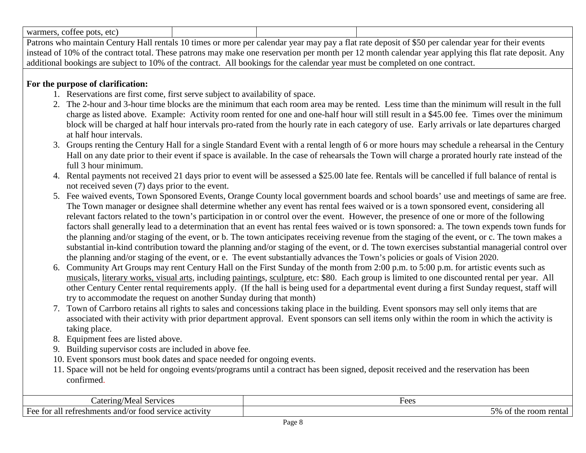| pots, etc<br>warmers.<br>cottee |   |  |      |  |
|---------------------------------|---|--|------|--|
| ----<br>__<br>$\sim$            | . |  | $-1$ |  |

Patrons who maintain Century Hall rentals 10 times or more per calendar year may pay a flat rate deposit of \$50 per calendar year for their events instead of 10% of the contract total. These patrons may make one reservation per month per 12 month calendar year applying this flat rate deposit. Any additional bookings are subject to 10% of the contract. All bookings for the calendar year must be completed on one contract.

## **For the purpose of clarification:**

- 1. Reservations are first come, first serve subject to availability of space.
- 2. The 2-hour and 3-hour time blocks are the minimum that each room area may be rented. Less time than the minimum will result in the full charge as listed above. Example: Activity room rented for one and one-half hour will still result in a \$45.00 fee. Times over the minimum block will be charged at half hour intervals pro-rated from the hourly rate in each category of use. Early arrivals or late departures charged at half hour intervals.
- 3. Groups renting the Century Hall for a single Standard Event with a rental length of 6 or more hours may schedule a rehearsal in the Century Hall on any date prior to their event if space is available. In the case of rehearsals the Town will charge a prorated hourly rate instead of the full 3 hour minimum.
- 4. Rental payments not received 21 days prior to event will be assessed a \$25.00 late fee. Rentals will be cancelled if full balance of rental is not received seven (7) days prior to the event.
- 5. Fee waived events, Town Sponsored Events, Orange County local government boards and school boards' use and meetings of same are free. The Town manager or designee shall determine whether any event has rental fees waived or is a town sponsored event, considering all relevant factors related to the town's participation in or control over the event. However, the presence of one or more of the following factors shall generally lead to a determination that an event has rental fees waived or is town sponsored: a. The town expends town funds for the planning and/or staging of the event, or b. The town anticipates receiving revenue from the staging of the event, or c. The town makes a substantial in-kind contribution toward the planning and/or staging of the event, or d. The town exercises substantial managerial control over the planning and/or staging of the event, or e. The event substantially advances the Town's policies or goals of Vision 2020.
- 6. Community Art Groups may rent Century Hall on the First Sunday of the month from 2:00 p.m. to 5:00 p.m. for artistic events such as [musica](http://en.wikipedia.org/wiki/Music)ls, [literary works, visual arts,](http://en.wikipedia.org/wiki/Literature) including [paintings](http://en.wikipedia.org/wiki/Painting), [sculpture,](http://en.wikipedia.org/wiki/Sculpture) etc: \$80. Each group is limited to one discounted rental per year. All other Century Center rental requirements apply. (If the hall is being used for a departmental event during a first Sunday request, staff will try to accommodate the request on another Sunday during that month)
- 7. Town of Carrboro retains all rights to sales and concessions taking place in the building. Event sponsors may sell only items that are associated with their activity with prior department approval. Event sponsors can sell items only within the room in which the activity is taking place.
- 8. Equipment fees are listed above.
- 9. Building supervisor costs are included in above fee.
- 10. Event sponsors must book dates and space needed for ongoing events.
- 11. Space will not be held for ongoing events/programs until a contract has been signed, deposit received and the reservation has been confirmed.

| 'Nieal<br>_atering/<br>ervices                                                     | HAAC<br><u>uus</u>               |
|------------------------------------------------------------------------------------|----------------------------------|
| refreshments  <br>activity<br>Hee<br>tor al<br>and/<br>ີ*∩∩ເ⊥…<br>vice.<br>ΟF<br>N | 5%<br>room<br>ental<br>the<br>OТ |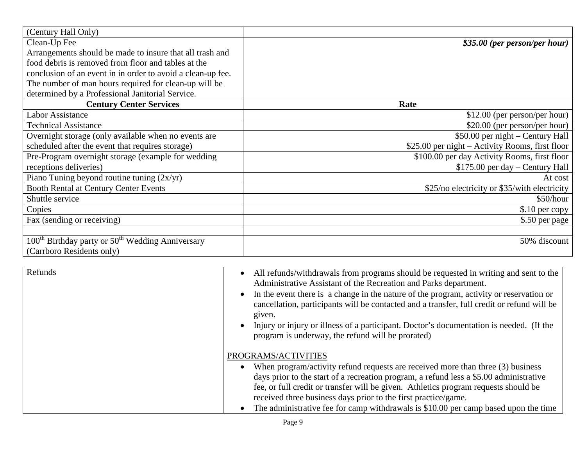| (Century Hall Only)                                            |                                                 |
|----------------------------------------------------------------|-------------------------------------------------|
| Clean-Up Fee                                                   | \$35.00 (per person/per hour)                   |
| Arrangements should be made to insure that all trash and       |                                                 |
| food debris is removed from floor and tables at the            |                                                 |
| conclusion of an event in in order to avoid a clean-up fee.    |                                                 |
| The number of man hours required for clean-up will be          |                                                 |
| determined by a Professional Janitorial Service.               |                                                 |
| <b>Century Center Services</b>                                 | Rate                                            |
| Labor Assistance                                               | $$12.00$ (per person/per hour)                  |
| <b>Technical Assistance</b>                                    | \$20.00 (per person/per hour)                   |
| Overnight storage (only available when no events are           | \$50.00 per night – Century Hall                |
| scheduled after the event that requires storage)               | \$25.00 per night – Activity Rooms, first floor |
| Pre-Program overnight storage (example for wedding             | \$100.00 per day Activity Rooms, first floor    |
| receptions deliveries)                                         | $$175.00$ per day - Century Hall                |
| Piano Tuning beyond routine tuning $(2x/yr)$                   | At cost                                         |
| <b>Booth Rental at Century Center Events</b>                   | \$25/no electricity or \$35/with electricity    |
| Shuttle service                                                | \$50/hour                                       |
| Copies                                                         | \$.10 per copy                                  |
| Fax (sending or receiving)                                     | \$.50 per page                                  |
|                                                                |                                                 |
| $100th$ Birthday party or 50 <sup>th</sup> Wedding Anniversary | 50% discount                                    |
| (Carrboro Residents only)                                      |                                                 |

| Refunds | All refunds/withdrawals from programs should be requested in writing and sent to the<br>$\bullet$<br>Administrative Assistant of the Recreation and Parks department.<br>In the event there is a change in the nature of the program, activity or reservation or<br>$\bullet$<br>cancellation, participants will be contacted and a transfer, full credit or refund will be<br>given.<br>Injury or injury or illness of a participant. Doctor's documentation is needed. (If the<br>$\bullet$<br>program is underway, the refund will be prorated) |
|---------|----------------------------------------------------------------------------------------------------------------------------------------------------------------------------------------------------------------------------------------------------------------------------------------------------------------------------------------------------------------------------------------------------------------------------------------------------------------------------------------------------------------------------------------------------|
|         | PROGRAMS/ACTIVITIES                                                                                                                                                                                                                                                                                                                                                                                                                                                                                                                                |
|         | When program/activity refund requests are received more than three (3) business<br>$\bullet$                                                                                                                                                                                                                                                                                                                                                                                                                                                       |
|         | days prior to the start of a recreation program, a refund less a \$5.00 administrative<br>fee, or full credit or transfer will be given. Athletics program requests should be                                                                                                                                                                                                                                                                                                                                                                      |
|         | received three business days prior to the first practice/game.                                                                                                                                                                                                                                                                                                                                                                                                                                                                                     |
|         | The administrative fee for camp withdrawals is $$10.00$ per camp-based upon the time                                                                                                                                                                                                                                                                                                                                                                                                                                                               |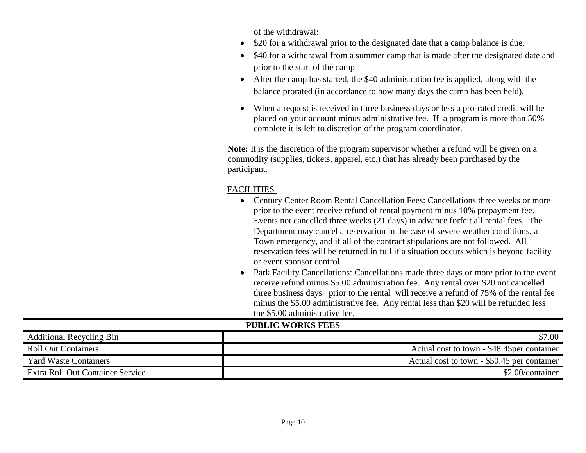|                                  | of the withdrawal:<br>\$20 for a withdrawal prior to the designated date that a camp balance is due.<br>$\bullet$                                                                                                                                                                                                                                                                                                                                                                                                                                                                                                                                                                                                                                                                                                                                                                                                                                                                                     |
|----------------------------------|-------------------------------------------------------------------------------------------------------------------------------------------------------------------------------------------------------------------------------------------------------------------------------------------------------------------------------------------------------------------------------------------------------------------------------------------------------------------------------------------------------------------------------------------------------------------------------------------------------------------------------------------------------------------------------------------------------------------------------------------------------------------------------------------------------------------------------------------------------------------------------------------------------------------------------------------------------------------------------------------------------|
|                                  | \$40 for a withdrawal from a summer camp that is made after the designated date and<br>$\bullet$<br>prior to the start of the camp                                                                                                                                                                                                                                                                                                                                                                                                                                                                                                                                                                                                                                                                                                                                                                                                                                                                    |
|                                  | After the camp has started, the \$40 administration fee is applied, along with the<br>balance prorated (in accordance to how many days the camp has been held).                                                                                                                                                                                                                                                                                                                                                                                                                                                                                                                                                                                                                                                                                                                                                                                                                                       |
|                                  | When a request is received in three business days or less a pro-rated credit will be<br>$\bullet$<br>placed on your account minus administrative fee. If a program is more than 50%<br>complete it is left to discretion of the program coordinator.                                                                                                                                                                                                                                                                                                                                                                                                                                                                                                                                                                                                                                                                                                                                                  |
|                                  | Note: It is the discretion of the program supervisor whether a refund will be given on a<br>commodity (supplies, tickets, apparel, etc.) that has already been purchased by the<br>participant.                                                                                                                                                                                                                                                                                                                                                                                                                                                                                                                                                                                                                                                                                                                                                                                                       |
|                                  | <b>FACILITIES</b><br>Century Center Room Rental Cancellation Fees: Cancellations three weeks or more<br>$\bullet$<br>prior to the event receive refund of rental payment minus 10% prepayment fee.<br>Events not cancelled three weeks (21 days) in advance forfeit all rental fees. The<br>Department may cancel a reservation in the case of severe weather conditions, a<br>Town emergency, and if all of the contract stipulations are not followed. All<br>reservation fees will be returned in full if a situation occurs which is beyond facility<br>or event sponsor control.<br>Park Facility Cancellations: Cancellations made three days or more prior to the event<br>$\bullet$<br>receive refund minus \$5.00 administration fee. Any rental over \$20 not cancelled<br>three business days prior to the rental will receive a refund of 75% of the rental fee<br>minus the \$5.00 administrative fee. Any rental less than \$20 will be refunded less<br>the \$5.00 administrative fee. |
|                                  | <b>PUBLIC WORKS FEES</b>                                                                                                                                                                                                                                                                                                                                                                                                                                                                                                                                                                                                                                                                                                                                                                                                                                                                                                                                                                              |
| <b>Additional Recycling Bin</b>  | \$7.00                                                                                                                                                                                                                                                                                                                                                                                                                                                                                                                                                                                                                                                                                                                                                                                                                                                                                                                                                                                                |
| <b>Roll Out Containers</b>       | Actual cost to town - \$48.45per container                                                                                                                                                                                                                                                                                                                                                                                                                                                                                                                                                                                                                                                                                                                                                                                                                                                                                                                                                            |
| <b>Yard Waste Containers</b>     | Actual cost to town - \$50.45 per container                                                                                                                                                                                                                                                                                                                                                                                                                                                                                                                                                                                                                                                                                                                                                                                                                                                                                                                                                           |
| Extra Roll Out Container Service | \$2.00/container                                                                                                                                                                                                                                                                                                                                                                                                                                                                                                                                                                                                                                                                                                                                                                                                                                                                                                                                                                                      |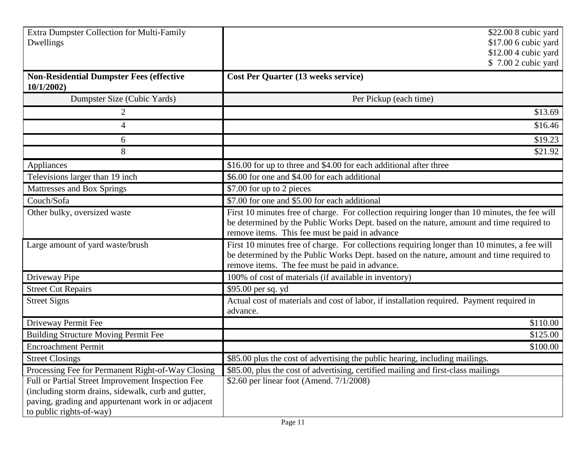| Extra Dumpster Collection for Multi-Family<br>Dwellings                                                                                                                                                                                          | \$22.00 8 cubic yard<br>\$17.00 6 cubic yard<br>\$12.00 4 cubic yard<br>\$7.00 2 cubic yard                                                                                                                                                  |
|--------------------------------------------------------------------------------------------------------------------------------------------------------------------------------------------------------------------------------------------------|----------------------------------------------------------------------------------------------------------------------------------------------------------------------------------------------------------------------------------------------|
| <b>Non-Residential Dumpster Fees (effective</b><br>10/1/2002                                                                                                                                                                                     | <b>Cost Per Quarter (13 weeks service)</b>                                                                                                                                                                                                   |
| Dumpster Size (Cubic Yards)                                                                                                                                                                                                                      | Per Pickup (each time)                                                                                                                                                                                                                       |
|                                                                                                                                                                                                                                                  | \$13.69                                                                                                                                                                                                                                      |
| 4                                                                                                                                                                                                                                                | \$16.46                                                                                                                                                                                                                                      |
| 6                                                                                                                                                                                                                                                | \$19.23                                                                                                                                                                                                                                      |
| 8                                                                                                                                                                                                                                                | \$21.92                                                                                                                                                                                                                                      |
| Appliances                                                                                                                                                                                                                                       | \$16.00 for up to three and \$4.00 for each additional after three                                                                                                                                                                           |
| Televisions larger than 19 inch                                                                                                                                                                                                                  | \$6.00 for one and \$4.00 for each additional                                                                                                                                                                                                |
| Mattresses and Box Springs                                                                                                                                                                                                                       | \$7.00 for up to 2 pieces                                                                                                                                                                                                                    |
| Couch/Sofa                                                                                                                                                                                                                                       | \$7.00 for one and \$5.00 for each additional                                                                                                                                                                                                |
| Other bulky, oversized waste                                                                                                                                                                                                                     | First 10 minutes free of charge. For collection requiring longer than 10 minutes, the fee will<br>be determined by the Public Works Dept. based on the nature, amount and time required to<br>remove items. This fee must be paid in advance |
| Large amount of yard waste/brush                                                                                                                                                                                                                 | First 10 minutes free of charge. For collections requiring longer than 10 minutes, a fee will<br>be determined by the Public Works Dept. based on the nature, amount and time required to<br>remove items. The fee must be paid in advance.  |
| Driveway Pipe                                                                                                                                                                                                                                    | 100% of cost of materials (if available in inventory)                                                                                                                                                                                        |
| <b>Street Cut Repairs</b>                                                                                                                                                                                                                        | \$95.00 per sq. yd                                                                                                                                                                                                                           |
| <b>Street Signs</b>                                                                                                                                                                                                                              | Actual cost of materials and cost of labor, if installation required. Payment required in<br>advance.                                                                                                                                        |
| Driveway Permit Fee                                                                                                                                                                                                                              | \$110.00                                                                                                                                                                                                                                     |
| <b>Building Structure Moving Permit Fee</b>                                                                                                                                                                                                      | \$125.00                                                                                                                                                                                                                                     |
| <b>Encroachment Permit</b>                                                                                                                                                                                                                       | \$100.00                                                                                                                                                                                                                                     |
| <b>Street Closings</b>                                                                                                                                                                                                                           | \$85.00 plus the cost of advertising the public hearing, including mailings.                                                                                                                                                                 |
| Processing Fee for Permanent Right-of-Way Closing<br>Full or Partial Street Improvement Inspection Fee<br>(including storm drains, sidewalk, curb and gutter,<br>paving, grading and appurtenant work in or adjacent<br>to public rights-of-way) | \$85.00, plus the cost of advertising, certified mailing and first-class mailings<br>\$2.60 per linear foot (Amend. $7/1/2008$ )                                                                                                             |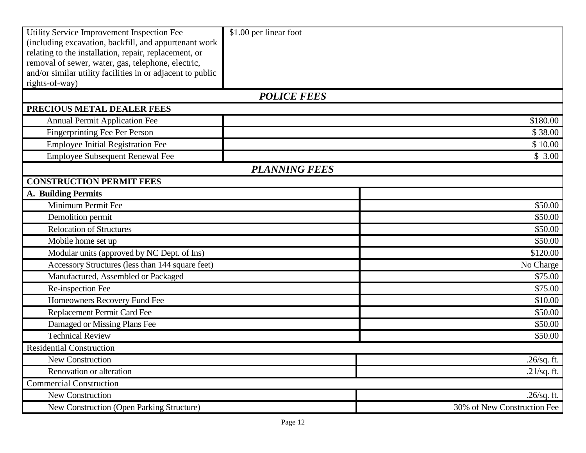| Utility Service Improvement Inspection Fee<br>(including excavation, backfill, and appurtenant work<br>relating to the installation, repair, replacement, or | \$1.00 per linear foot |                             |
|--------------------------------------------------------------------------------------------------------------------------------------------------------------|------------------------|-----------------------------|
| removal of sewer, water, gas, telephone, electric,                                                                                                           |                        |                             |
| and/or similar utility facilities in or adjacent to public                                                                                                   |                        |                             |
| rights-of-way)                                                                                                                                               |                        |                             |
|                                                                                                                                                              | <b>POLICE FEES</b>     |                             |
| PRECIOUS METAL DEALER FEES                                                                                                                                   |                        |                             |
| <b>Annual Permit Application Fee</b>                                                                                                                         |                        | \$180.00                    |
| <b>Fingerprinting Fee Per Person</b>                                                                                                                         |                        | \$38.00                     |
| <b>Employee Initial Registration Fee</b>                                                                                                                     |                        | \$10.00                     |
| Employee Subsequent Renewal Fee                                                                                                                              |                        | \$3.00                      |
|                                                                                                                                                              | <b>PLANNING FEES</b>   |                             |
| <b>CONSTRUCTION PERMIT FEES</b>                                                                                                                              |                        |                             |
| A. Building Permits                                                                                                                                          |                        |                             |
| Minimum Permit Fee                                                                                                                                           |                        | \$50.00                     |
| Demolition permit                                                                                                                                            |                        | \$50.00                     |
| <b>Relocation of Structures</b>                                                                                                                              |                        | \$50.00                     |
| Mobile home set up                                                                                                                                           |                        | \$50.00                     |
| Modular units (approved by NC Dept. of Ins)                                                                                                                  |                        | \$120.00                    |
| Accessory Structures (less than 144 square feet)                                                                                                             |                        | No Charge                   |
| Manufactured, Assembled or Packaged                                                                                                                          |                        | \$75.00                     |
| Re-inspection Fee                                                                                                                                            |                        | \$75.00                     |
| Homeowners Recovery Fund Fee                                                                                                                                 |                        | \$10.00                     |
| Replacement Permit Card Fee                                                                                                                                  |                        | \$50.00                     |
| Damaged or Missing Plans Fee                                                                                                                                 |                        | \$50.00                     |
| <b>Technical Review</b>                                                                                                                                      |                        | \$50.00                     |
| <b>Residential Construction</b>                                                                                                                              |                        |                             |
| New Construction                                                                                                                                             |                        | .26/sq. ft.                 |
| Renovation or alteration                                                                                                                                     |                        | $.21$ /sq. ft.              |
| <b>Commercial Construction</b>                                                                                                                               |                        |                             |
| New Construction                                                                                                                                             |                        | $.26$ /sq. ft.              |
| New Construction (Open Parking Structure)                                                                                                                    |                        | 30% of New Construction Fee |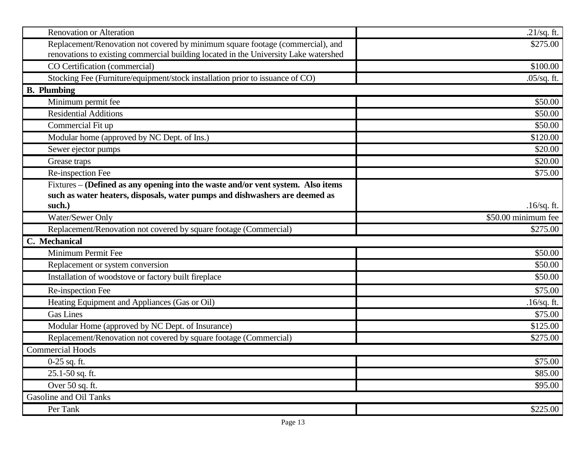| <b>Renovation or Alteration</b>                                                                                                                                        | $.21$ /sq. ft.      |
|------------------------------------------------------------------------------------------------------------------------------------------------------------------------|---------------------|
| Replacement/Renovation not covered by minimum square footage (commercial), and<br>renovations to existing commercial building located in the University Lake watershed | \$275.00            |
| CO Certification (commercial)                                                                                                                                          | \$100.00            |
| Stocking Fee (Furniture/equipment/stock installation prior to issuance of CO)                                                                                          | $.05$ /sq. ft.      |
| <b>B.</b> Plumbing                                                                                                                                                     |                     |
| Minimum permit fee                                                                                                                                                     | \$50.00             |
| <b>Residential Additions</b>                                                                                                                                           | \$50.00             |
| Commercial Fit up                                                                                                                                                      | \$50.00             |
| Modular home (approved by NC Dept. of Ins.)                                                                                                                            | \$120.00            |
| Sewer ejector pumps                                                                                                                                                    | \$20.00             |
| Grease traps                                                                                                                                                           | \$20.00             |
| Re-inspection Fee                                                                                                                                                      | \$75.00             |
| Fixtures – (Defined as any opening into the waste and/or vent system. Also items                                                                                       |                     |
| such as water heaters, disposals, water pumps and dishwashers are deemed as                                                                                            |                     |
| such.)                                                                                                                                                                 | $.16$ /sq. ft.      |
| Water/Sewer Only                                                                                                                                                       | \$50.00 minimum fee |
| Replacement/Renovation not covered by square footage (Commercial)                                                                                                      | \$275.00            |
| C. Mechanical                                                                                                                                                          |                     |
| Minimum Permit Fee                                                                                                                                                     | \$50.00             |
| Replacement or system conversion                                                                                                                                       | \$50.00             |
| Installation of woodstove or factory built fireplace                                                                                                                   | \$50.00             |
| Re-inspection Fee                                                                                                                                                      | \$75.00             |
| Heating Equipment and Appliances (Gas or Oil)                                                                                                                          | $.16$ /sq. ft.      |
| <b>Gas Lines</b>                                                                                                                                                       | \$75.00             |
| Modular Home (approved by NC Dept. of Insurance)                                                                                                                       | \$125.00            |
| Replacement/Renovation not covered by square footage (Commercial)                                                                                                      | \$275.00            |
| <b>Commercial Hoods</b>                                                                                                                                                |                     |
| $0-25$ sq. ft.                                                                                                                                                         | \$75.00             |
| 25.1-50 sq. ft.                                                                                                                                                        | \$85.00             |
| Over 50 sq. ft.                                                                                                                                                        | \$95.00             |
| Gasoline and Oil Tanks                                                                                                                                                 |                     |
| Per Tank                                                                                                                                                               | \$225.00            |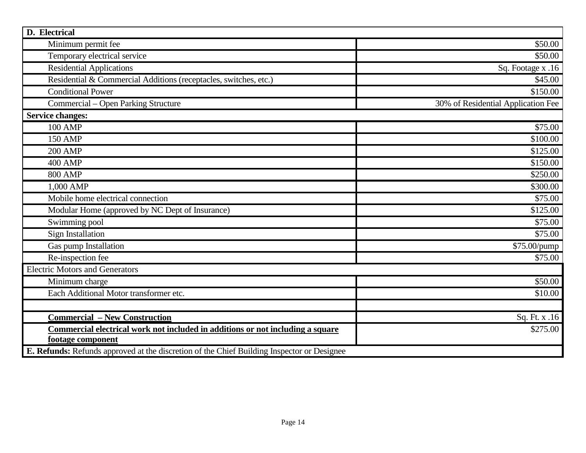| D. Electrical                                                                              |                                    |
|--------------------------------------------------------------------------------------------|------------------------------------|
| Minimum permit fee                                                                         | \$50.00                            |
| Temporary electrical service                                                               | \$50.00                            |
| <b>Residential Applications</b>                                                            | Sq. Footage x .16                  |
| Residential & Commercial Additions (receptacles, switches, etc.)                           | \$45.00                            |
| <b>Conditional Power</b>                                                                   | \$150.00                           |
| Commercial – Open Parking Structure                                                        | 30% of Residential Application Fee |
| <b>Service changes:</b>                                                                    |                                    |
| <b>100 AMP</b>                                                                             | \$75.00                            |
| <b>150 AMP</b>                                                                             | \$100.00                           |
| <b>200 AMP</b>                                                                             | \$125.00                           |
| <b>400 AMP</b>                                                                             | \$150.00                           |
| <b>800 AMP</b>                                                                             | \$250.00                           |
| 1,000 AMP                                                                                  | \$300.00                           |
| Mobile home electrical connection                                                          | \$75.00                            |
| Modular Home (approved by NC Dept of Insurance)                                            | \$125.00                           |
| Swimming pool                                                                              | \$75.00                            |
| <b>Sign Installation</b>                                                                   | \$75.00                            |
| Gas pump Installation                                                                      | \$75.00/pump                       |
| Re-inspection fee                                                                          | \$75.00                            |
| <b>Electric Motors and Generators</b>                                                      |                                    |
| Minimum charge                                                                             | \$50.00                            |
| Each Additional Motor transformer etc.                                                     | \$10.00                            |
|                                                                                            |                                    |
| <b>Commercial - New Construction</b>                                                       | Sq. Ft. x .16                      |
| Commercial electrical work not included in additions or not including a square             | \$275.00                           |
| footage component                                                                          |                                    |
| E. Refunds: Refunds approved at the discretion of the Chief Building Inspector or Designee |                                    |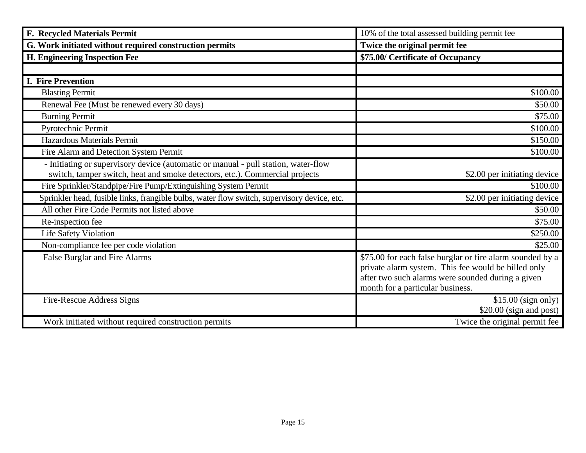| F. Recycled Materials Permit                                                                                                                                      | 10% of the total assessed building permit fee                                                                                                                                                             |
|-------------------------------------------------------------------------------------------------------------------------------------------------------------------|-----------------------------------------------------------------------------------------------------------------------------------------------------------------------------------------------------------|
| G. Work initiated without required construction permits                                                                                                           | Twice the original permit fee                                                                                                                                                                             |
| H. Engineering Inspection Fee                                                                                                                                     | \$75.00/ Certificate of Occupancy                                                                                                                                                                         |
|                                                                                                                                                                   |                                                                                                                                                                                                           |
| <b>I. Fire Prevention</b>                                                                                                                                         |                                                                                                                                                                                                           |
| <b>Blasting Permit</b>                                                                                                                                            | \$100.00                                                                                                                                                                                                  |
| Renewal Fee (Must be renewed every 30 days)                                                                                                                       | \$50.00                                                                                                                                                                                                   |
| <b>Burning Permit</b>                                                                                                                                             | \$75.00                                                                                                                                                                                                   |
| Pyrotechnic Permit                                                                                                                                                | \$100.00                                                                                                                                                                                                  |
| <b>Hazardous Materials Permit</b>                                                                                                                                 | \$150.00                                                                                                                                                                                                  |
| Fire Alarm and Detection System Permit                                                                                                                            | \$100.00                                                                                                                                                                                                  |
| - Initiating or supervisory device (automatic or manual - pull station, water-flow<br>switch, tamper switch, heat and smoke detectors, etc.). Commercial projects | \$2.00 per initiating device                                                                                                                                                                              |
| Fire Sprinkler/Standpipe/Fire Pump/Extinguishing System Permit                                                                                                    | \$100.00                                                                                                                                                                                                  |
| Sprinkler head, fusible links, frangible bulbs, water flow switch, supervisory device, etc.                                                                       | \$2.00 per initiating device                                                                                                                                                                              |
| All other Fire Code Permits not listed above                                                                                                                      | \$50.00                                                                                                                                                                                                   |
| Re-inspection fee                                                                                                                                                 | \$75.00                                                                                                                                                                                                   |
| <b>Life Safety Violation</b>                                                                                                                                      | \$250.00                                                                                                                                                                                                  |
| Non-compliance fee per code violation                                                                                                                             | \$25.00                                                                                                                                                                                                   |
| False Burglar and Fire Alarms                                                                                                                                     | \$75.00 for each false burglar or fire alarm sounded by a<br>private alarm system. This fee would be billed only<br>after two such alarms were sounded during a given<br>month for a particular business. |
| Fire-Rescue Address Signs                                                                                                                                         | $$15.00$ (sign only)<br>$$20.00$ (sign and post)                                                                                                                                                          |
| Work initiated without required construction permits                                                                                                              | Twice the original permit fee                                                                                                                                                                             |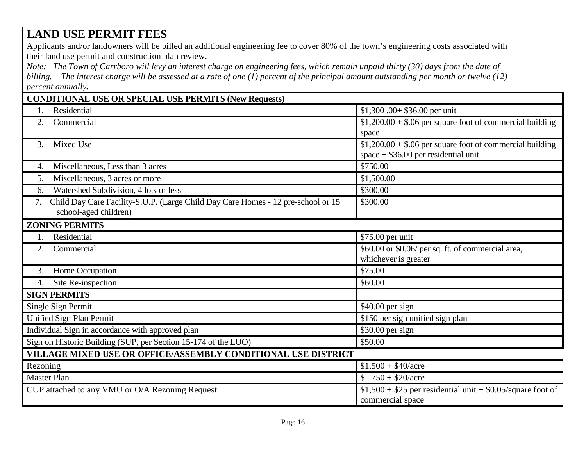## **LAND USE PERMIT FEES**

Applicants and/or landowners will be billed an additional engineering fee to cover 80% of the town's engineering costs associated with their land use permit and construction plan review.

*Note: The Town of Carrboro will levy an interest charge on engineering fees, which remain unpaid thirty (30) days from the date of billing. The interest charge will be assessed at a rate of one (1) percent of the principal amount outstanding per month or twelve (12) percent annually.*

| <b>CONDITIONAL USE OR SPECIAL USE PERMITS (New Requests)</b>                                                    |                                                                                                    |
|-----------------------------------------------------------------------------------------------------------------|----------------------------------------------------------------------------------------------------|
| Residential                                                                                                     | $$1,300.00+ $36.00$ per unit                                                                       |
| 2.<br>Commercial                                                                                                | $$1,200.00 + $.06$ per square foot of commercial building<br>space                                 |
| Mixed Use<br>3.                                                                                                 | $$1,200.00 + $.06$ per square foot of commercial building<br>$space + $36.00$ per residential unit |
| Miscellaneous, Less than 3 acres<br>4.                                                                          | \$750.00                                                                                           |
| Miscellaneous, 3 acres or more<br>5.                                                                            | \$1,500.00                                                                                         |
| Watershed Subdivision, 4 lots or less<br>6.                                                                     | \$300.00                                                                                           |
| Child Day Care Facility-S.U.P. (Large Child Day Care Homes - 12 pre-school or 15<br>7.<br>school-aged children) | \$300.00                                                                                           |
| <b>ZONING PERMITS</b>                                                                                           |                                                                                                    |
| Residential                                                                                                     | \$75.00 per unit                                                                                   |
| Commercial<br>2.                                                                                                | \$60.00 or \$0.06/ per sq. ft. of commercial area,<br>whichever is greater                         |
| Home Occupation<br>3.                                                                                           | \$75.00                                                                                            |
| Site Re-inspection<br>4.                                                                                        | \$60.00                                                                                            |
| <b>SIGN PERMITS</b>                                                                                             |                                                                                                    |
| Single Sign Permit                                                                                              | $$40.00$ per sign                                                                                  |
| Unified Sign Plan Permit                                                                                        | \$150 per sign unified sign plan                                                                   |
| Individual Sign in accordance with approved plan                                                                | \$30.00 per sign                                                                                   |
| Sign on Historic Building (SUP, per Section 15-174 of the LUO)                                                  | \$50.00                                                                                            |
| VILLAGE MIXED USE OR OFFICE/ASSEMBLY CONDITIONAL USE DISTRICT                                                   |                                                                                                    |
| Rezoning                                                                                                        | $$1,500 + $40/ \text{acre}$                                                                        |
| <b>Master Plan</b>                                                                                              | $$750 + $20/acre$                                                                                  |
| CUP attached to any VMU or O/A Rezoning Request                                                                 | $$1,500 + $25$ per residential unit + \$0.05/square foot of<br>commercial space                    |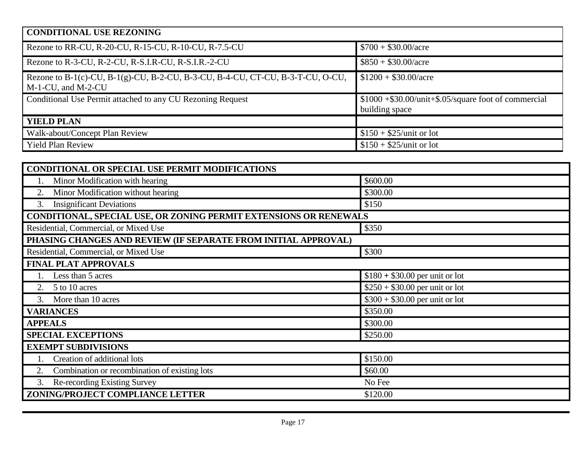## **CONDITIONAL USE REZONING** Rezone to RR-CU, R-20-CU, R-15-CU, R-10-CU, R-7.5-CU \$700 + \$30.00/acre Rezone to R-3-CU, R-2-CU, R-S.I.R-CU, R-S.I.R.-2-CU \$850 + \$30.00/acre Rezone to B-1(c)-CU, B-1(g)-CU, B-2-CU, B-3-CU, B-4-CU, CT-CU, B-3-T-CU, O-CU, M-1-CU, and M-2-CU  $$1200 + $30.00/ \text{acre}$ Conditional Use Permit attached to any CU Rezoning Request \$1000 +\$30.00/unit+\$.05/square foot of commercial building space **YIELD PLAN** Walk-about/Concept Plan Review  $$150 + $25/$ unit or lot Yield Plan Review  $$150 + $25/unit$  or lot

| <b>CONDITIONAL OR SPECIAL USE PERMIT MODIFICATIONS</b>            |                                 |  |
|-------------------------------------------------------------------|---------------------------------|--|
| Minor Modification with hearing                                   | \$600.00                        |  |
| Minor Modification without hearing<br>2.                          | \$300.00                        |  |
| <b>Insignificant Deviations</b><br>3.                             | \$150                           |  |
| CONDITIONAL, SPECIAL USE, OR ZONING PERMIT EXTENSIONS OR RENEWALS |                                 |  |
| Residential, Commercial, or Mixed Use<br>\$350                    |                                 |  |
| PHASING CHANGES AND REVIEW (IF SEPARATE FROM INITIAL APPROVAL)    |                                 |  |
| Residential, Commercial, or Mixed Use                             | \$300                           |  |
| <b>FINAL PLAT APPROVALS</b>                                       |                                 |  |
| Less than 5 acres                                                 | $$180 + $30.00$ per unit or lot |  |
| 5 to 10 acres                                                     | $$250 + $30.00$ per unit or lot |  |
| More than 10 acres<br>3.                                          | $$300 + $30.00$ per unit or lot |  |
| <b>VARIANCES</b>                                                  | \$350.00                        |  |
| <b>APPEALS</b>                                                    | \$300.00                        |  |
| <b>SPECIAL EXCEPTIONS</b>                                         | \$250.00                        |  |
| <b>EXEMPT SUBDIVISIONS</b>                                        |                                 |  |
| Creation of additional lots                                       | \$150.00                        |  |
| Combination or recombination of existing lots<br>2.               | \$60.00                         |  |
| Re-recording Existing Survey<br>3.                                | No Fee                          |  |
| ZONING/PROJECT COMPLIANCE LETTER                                  | \$120.00                        |  |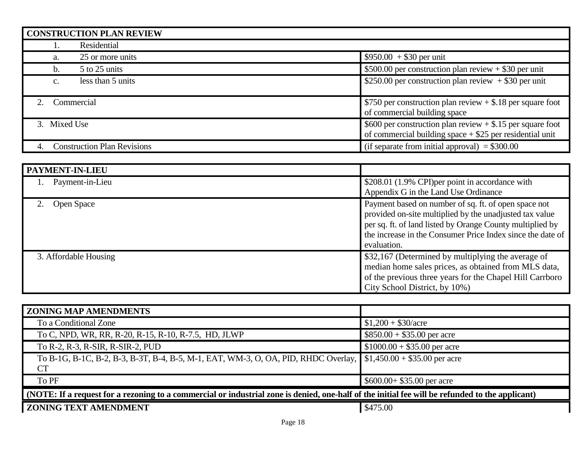| <b>CONSTRUCTION PLAN REVIEW</b>     |                                                                                                                                        |
|-------------------------------------|----------------------------------------------------------------------------------------------------------------------------------------|
| Residential                         |                                                                                                                                        |
| 25 or more units<br>a.              | $$950.00 + $30$ per unit                                                                                                               |
| 5 to 25 units<br>b.                 | \$500.00 per construction plan review $+$ \$30 per unit                                                                                |
| less than 5 units<br>$\mathbf{c}$ . | \$250.00 per construction plan review $+$ \$30 per unit                                                                                |
| Commercial                          | \$750 per construction plan review $+$ \$.18 per square foot<br>of commercial building space                                           |
| 3. Mixed Use                        | $\frac{$600}{$600}$ per construction plan review + \$.15 per square foot<br>of commercial building space $+$ \$25 per residential unit |
| <b>Construction Plan Revisions</b>  | (if separate from initial approval) $= $300.00$                                                                                        |

| PAYMENT-IN-LIEU       |                                                                                                                                                                                                                                                           |
|-----------------------|-----------------------------------------------------------------------------------------------------------------------------------------------------------------------------------------------------------------------------------------------------------|
| Payment-in-Lieu       | \$208.01 (1.9% CPI) per point in accordance with<br>Appendix G in the Land Use Ordinance                                                                                                                                                                  |
| <b>Open Space</b>     | Payment based on number of sq. ft. of open space not<br>provided on-site multiplied by the unadjusted tax value<br>per sq. ft. of land listed by Orange County multiplied by<br>the increase in the Consumer Price Index since the date of<br>evaluation. |
| 3. Affordable Housing | \$32,167 (Determined by multiplying the average of<br>median home sales prices, as obtained from MLS data,<br>of the previous three years for the Chapel Hill Carrboro<br>City School District, by 10%)                                                   |

| <b>ZONING MAP AMENDMENTS</b>                                                                                                                    |                               |  |
|-------------------------------------------------------------------------------------------------------------------------------------------------|-------------------------------|--|
| To a Conditional Zone                                                                                                                           | $$1,200 + $30/ \text{acre}$   |  |
| To C, NPD, WR, RR, R-20, R-15, R-10, R-7.5, HD, JLWP                                                                                            | $$850.00 + $35.00$ per acre   |  |
| To R-2, R-3, R-SIR, R-SIR-2, PUD                                                                                                                | $$1000.00 + $35.00$ per acre  |  |
| To B-1G, B-1C, B-2, B-3, B-3T, B-4, B-5, M-1, EAT, WM-3, O, OA, PID, RHDC Overlay, \\ \$1,450.00 + \$35.00 per acre                             |                               |  |
| <b>CT</b>                                                                                                                                       |                               |  |
| To PF                                                                                                                                           | $\$600.00 + \$35.00$ per acre |  |
| (NOTE: If a request for a rezoning to a commercial or industrial zone is denied, one-half of the initial fee will be refunded to the applicant) |                               |  |
| <b>ZONING TEXT AMENDMENT</b>                                                                                                                    | \$475.00                      |  |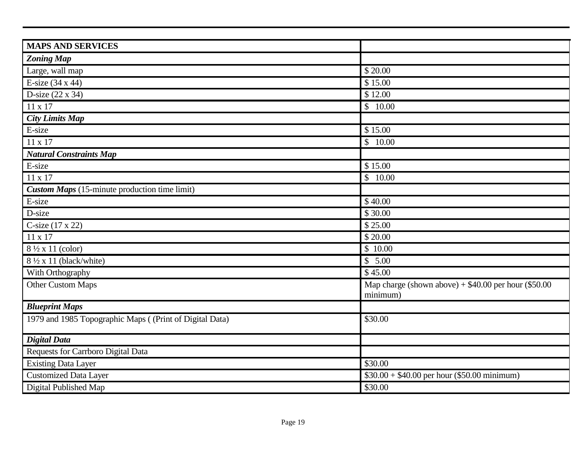| <b>MAPS AND SERVICES</b>                                |                                                                    |
|---------------------------------------------------------|--------------------------------------------------------------------|
| <b>Zoning Map</b>                                       |                                                                    |
| Large, wall map                                         | \$20.00                                                            |
| E-size (34 x 44)                                        | \$15.00                                                            |
| D-size $(22 \times 34)$                                 | \$12.00                                                            |
| $11 \times 17$                                          | \$10.00                                                            |
| <b>City Limits Map</b>                                  |                                                                    |
| E-size                                                  | \$15.00                                                            |
| 11 x 17                                                 | \$10.00                                                            |
| <b>Natural Constraints Map</b>                          |                                                                    |
| E-size                                                  | \$15.00                                                            |
| 11 x 17                                                 | \$10.00                                                            |
| <b>Custom Maps</b> (15-minute production time limit)    |                                                                    |
| E-size                                                  | \$40.00                                                            |
| D-size                                                  | \$30.00                                                            |
| C-size (17 x 22)                                        | \$25.00                                                            |
| 11 x 17                                                 | \$20.00                                                            |
| 8 1/2 x 11 (color)                                      | $\overline{$}10.00$                                                |
| $8\frac{1}{2}$ x 11 (black/white)                       | $\overline{\$}$ 5.00                                               |
| With Orthography                                        | \$45.00                                                            |
| <b>Other Custom Maps</b>                                | Map charge (shown above) $+$ \$40.00 per hour (\$50.00<br>minimum) |
| <b>Blueprint Maps</b>                                   |                                                                    |
| 1979 and 1985 Topographic Maps ((Print of Digital Data) | \$30.00                                                            |
| <b>Digital Data</b>                                     |                                                                    |
| Requests for Carrboro Digital Data                      |                                                                    |
| <b>Existing Data Layer</b>                              | \$30.00                                                            |
| <b>Customized Data Layer</b>                            | $$30.00 + $40.00$ per hour (\$50.00 minimum)                       |
| Digital Published Map                                   | \$30.00                                                            |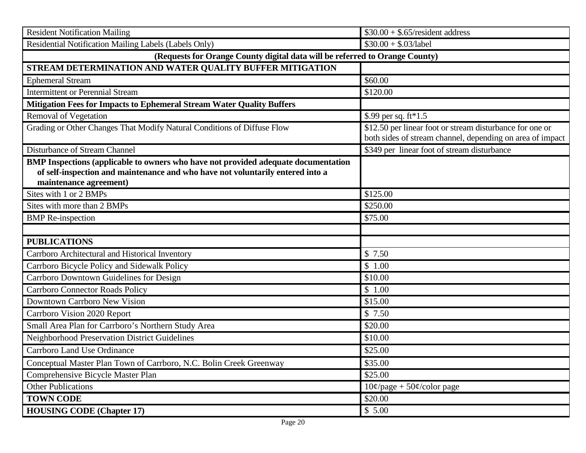| <b>Resident Notification Mailing</b>                                                                                                                                                           | $$30.00 + $.65$ /resident address                                                                                     |
|------------------------------------------------------------------------------------------------------------------------------------------------------------------------------------------------|-----------------------------------------------------------------------------------------------------------------------|
| Residential Notification Mailing Labels (Labels Only)                                                                                                                                          | $$30.00 + $03/$ label                                                                                                 |
| (Requests for Orange County digital data will be referred to Orange County)                                                                                                                    |                                                                                                                       |
| STREAM DETERMINATION AND WATER QUALITY BUFFER MITIGATION                                                                                                                                       |                                                                                                                       |
| <b>Ephemeral Stream</b>                                                                                                                                                                        | \$60.00                                                                                                               |
| <b>Intermittent or Perennial Stream</b>                                                                                                                                                        | \$120.00                                                                                                              |
| Mitigation Fees for Impacts to Ephemeral Stream Water Quality Buffers                                                                                                                          |                                                                                                                       |
| <b>Removal of Vegetation</b>                                                                                                                                                                   | \$.99 per sq. ft*1.5                                                                                                  |
| Grading or Other Changes That Modify Natural Conditions of Diffuse Flow                                                                                                                        | \$12.50 per linear foot or stream disturbance for one or<br>both sides of stream channel, depending on area of impact |
| Disturbance of Stream Channel                                                                                                                                                                  | \$349 per linear foot of stream disturbance                                                                           |
| BMP Inspections (applicable to owners who have not provided adequate documentation<br>of self-inspection and maintenance and who have not voluntarily entered into a<br>maintenance agreement) |                                                                                                                       |
| Sites with 1 or 2 BMPs                                                                                                                                                                         | \$125.00                                                                                                              |
| Sites with more than 2 BMPs                                                                                                                                                                    | \$250.00                                                                                                              |
| <b>BMP</b> Re-inspection                                                                                                                                                                       | \$75.00                                                                                                               |
|                                                                                                                                                                                                |                                                                                                                       |
| <b>PUBLICATIONS</b>                                                                                                                                                                            |                                                                                                                       |
| Carrboro Architectural and Historical Inventory                                                                                                                                                | \$7.50                                                                                                                |
| Carrboro Bicycle Policy and Sidewalk Policy                                                                                                                                                    | \$1.00                                                                                                                |
| Carrboro Downtown Guidelines for Design                                                                                                                                                        | \$10.00                                                                                                               |
| <b>Carrboro Connector Roads Policy</b>                                                                                                                                                         | \$1.00                                                                                                                |
| Downtown Carrboro New Vision                                                                                                                                                                   | \$15.00                                                                                                               |
| Carrboro Vision 2020 Report                                                                                                                                                                    | \$7.50                                                                                                                |
| Small Area Plan for Carrboro's Northern Study Area                                                                                                                                             | \$20.00                                                                                                               |
| Neighborhood Preservation District Guidelines                                                                                                                                                  | \$10.00                                                                                                               |
| Carrboro Land Use Ordinance                                                                                                                                                                    | \$25.00                                                                                                               |
| Conceptual Master Plan Town of Carrboro, N.C. Bolin Creek Greenway                                                                                                                             | \$35.00                                                                                                               |
| Comprehensive Bicycle Master Plan                                                                                                                                                              | \$25.00                                                                                                               |
| <b>Other Publications</b>                                                                                                                                                                      | $10\phi$ /page + 50 $\phi$ /color page                                                                                |
| <b>TOWN CODE</b>                                                                                                                                                                               | \$20.00                                                                                                               |
| <b>HOUSING CODE</b> (Chapter 17)                                                                                                                                                               | \$5.00                                                                                                                |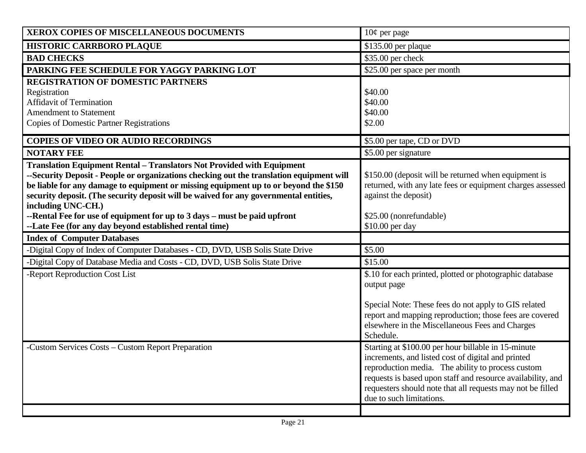| XEROX COPIES OF MISCELLANEOUS DOCUMENTS                                                                                                                                   | $10¢$ per page                                                                                                            |
|---------------------------------------------------------------------------------------------------------------------------------------------------------------------------|---------------------------------------------------------------------------------------------------------------------------|
| HISTORIC CARRBORO PLAQUE                                                                                                                                                  | \$135.00 per plaque                                                                                                       |
| <b>BAD CHECKS</b>                                                                                                                                                         | \$35.00 per check                                                                                                         |
| PARKING FEE SCHEDULE FOR YAGGY PARKING LOT                                                                                                                                | \$25.00 per space per month                                                                                               |
| <b>REGISTRATION OF DOMESTIC PARTNERS</b>                                                                                                                                  |                                                                                                                           |
| Registration                                                                                                                                                              | \$40.00                                                                                                                   |
| <b>Affidavit of Termination</b>                                                                                                                                           | \$40.00                                                                                                                   |
| <b>Amendment to Statement</b><br><b>Copies of Domestic Partner Registrations</b>                                                                                          | \$40.00<br>\$2.00                                                                                                         |
|                                                                                                                                                                           |                                                                                                                           |
| <b>COPIES OF VIDEO OR AUDIO RECORDINGS</b>                                                                                                                                | \$5.00 per tape, CD or DVD                                                                                                |
| <b>NOTARY FEE</b>                                                                                                                                                         | \$5.00 per signature                                                                                                      |
| <b>Translation Equipment Rental - Translators Not Provided with Equipment</b><br>--Security Deposit - People or organizations checking out the translation equipment will | \$150.00 (deposit will be returned when equipment is                                                                      |
| be liable for any damage to equipment or missing equipment up to or beyond the \$150                                                                                      | returned, with any late fees or equipment charges assessed                                                                |
| security deposit. (The security deposit will be waived for any governmental entities,                                                                                     | against the deposit)                                                                                                      |
| including UNC-CH.)                                                                                                                                                        |                                                                                                                           |
| --Rental Fee for use of equipment for up to 3 days – must be paid upfront                                                                                                 | \$25.00 (nonrefundable)                                                                                                   |
| --Late Fee (for any day beyond established rental time)                                                                                                                   | \$10.00 per day                                                                                                           |
| <b>Index of Computer Databases</b>                                                                                                                                        |                                                                                                                           |
| -Digital Copy of Index of Computer Databases - CD, DVD, USB Solis State Drive                                                                                             | \$5.00                                                                                                                    |
| -Digital Copy of Database Media and Costs - CD, DVD, USB Solis State Drive                                                                                                | \$15.00                                                                                                                   |
| -Report Reproduction Cost List                                                                                                                                            | \$.10 for each printed, plotted or photographic database                                                                  |
|                                                                                                                                                                           | output page                                                                                                               |
|                                                                                                                                                                           | Special Note: These fees do not apply to GIS related                                                                      |
|                                                                                                                                                                           | report and mapping reproduction; those fees are covered                                                                   |
|                                                                                                                                                                           | elsewhere in the Miscellaneous Fees and Charges                                                                           |
|                                                                                                                                                                           | Schedule.                                                                                                                 |
| -Custom Services Costs – Custom Report Preparation                                                                                                                        | Starting at \$100.00 per hour billable in 15-minute                                                                       |
|                                                                                                                                                                           | increments, and listed cost of digital and printed                                                                        |
|                                                                                                                                                                           | reproduction media. The ability to process custom                                                                         |
|                                                                                                                                                                           | requests is based upon staff and resource availability, and<br>requesters should note that all requests may not be filled |
|                                                                                                                                                                           | due to such limitations.                                                                                                  |
|                                                                                                                                                                           |                                                                                                                           |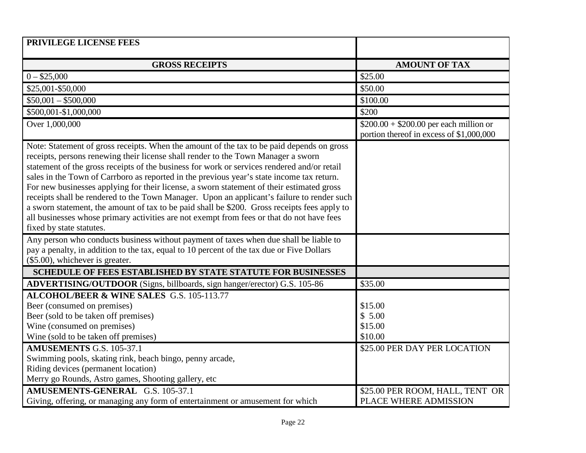| PRIVILEGE LICENSE FEES                                                                                                                                                                                                                                                                                                                                                                                                                                                                                                                                                                                                                                                                                                                                                                         |                                                                                     |
|------------------------------------------------------------------------------------------------------------------------------------------------------------------------------------------------------------------------------------------------------------------------------------------------------------------------------------------------------------------------------------------------------------------------------------------------------------------------------------------------------------------------------------------------------------------------------------------------------------------------------------------------------------------------------------------------------------------------------------------------------------------------------------------------|-------------------------------------------------------------------------------------|
| <b>GROSS RECEIPTS</b>                                                                                                                                                                                                                                                                                                                                                                                                                                                                                                                                                                                                                                                                                                                                                                          | <b>AMOUNT OF TAX</b>                                                                |
| $0 - $25,000$                                                                                                                                                                                                                                                                                                                                                                                                                                                                                                                                                                                                                                                                                                                                                                                  | \$25.00                                                                             |
| \$25,001-\$50,000                                                                                                                                                                                                                                                                                                                                                                                                                                                                                                                                                                                                                                                                                                                                                                              | \$50.00                                                                             |
| $$50,001 - $500,000$                                                                                                                                                                                                                                                                                                                                                                                                                                                                                                                                                                                                                                                                                                                                                                           | \$100.00                                                                            |
| \$500,001-\$1,000,000                                                                                                                                                                                                                                                                                                                                                                                                                                                                                                                                                                                                                                                                                                                                                                          | \$200                                                                               |
| Over 1,000,000                                                                                                                                                                                                                                                                                                                                                                                                                                                                                                                                                                                                                                                                                                                                                                                 | $$200.00 + $200.00$ per each million or<br>portion thereof in excess of \$1,000,000 |
| Note: Statement of gross receipts. When the amount of the tax to be paid depends on gross<br>receipts, persons renewing their license shall render to the Town Manager a sworn<br>statement of the gross receipts of the business for work or services rendered and/or retail<br>sales in the Town of Carrboro as reported in the previous year's state income tax return.<br>For new businesses applying for their license, a sworn statement of their estimated gross<br>receipts shall be rendered to the Town Manager. Upon an applicant's failure to render such<br>a sworn statement, the amount of tax to be paid shall be \$200. Gross receipts fees apply to<br>all businesses whose primary activities are not exempt from fees or that do not have fees<br>fixed by state statutes. |                                                                                     |
| Any person who conducts business without payment of taxes when due shall be liable to<br>pay a penalty, in addition to the tax, equal to 10 percent of the tax due or Five Dollars<br>$($5.00)$ , whichever is greater.                                                                                                                                                                                                                                                                                                                                                                                                                                                                                                                                                                        |                                                                                     |
| <b>SCHEDULE OF FEES ESTABLISHED BY STATE STATUTE FOR BUSINESSES</b>                                                                                                                                                                                                                                                                                                                                                                                                                                                                                                                                                                                                                                                                                                                            |                                                                                     |
| ADVERTISING/OUTDOOR (Signs, billboards, sign hanger/erector) G.S. 105-86                                                                                                                                                                                                                                                                                                                                                                                                                                                                                                                                                                                                                                                                                                                       | \$35.00                                                                             |
| ALCOHOL/BEER & WINE SALES G.S. 105-113.77<br>Beer (consumed on premises)<br>Beer (sold to be taken off premises)<br>Wine (consumed on premises)<br>Wine (sold to be taken off premises)                                                                                                                                                                                                                                                                                                                                                                                                                                                                                                                                                                                                        | \$15.00<br>\$5.00<br>\$15.00<br>\$10.00                                             |
| <b>AMUSEMENTS G.S. 105-37.1</b>                                                                                                                                                                                                                                                                                                                                                                                                                                                                                                                                                                                                                                                                                                                                                                | \$25.00 PER DAY PER LOCATION                                                        |
| Swimming pools, skating rink, beach bingo, penny arcade,<br>Riding devices (permanent location)<br>Merry go Rounds, Astro games, Shooting gallery, etc                                                                                                                                                                                                                                                                                                                                                                                                                                                                                                                                                                                                                                         |                                                                                     |
| AMUSEMENTS-GENERAL G.S. 105-37.1<br>Giving, offering, or managing any form of entertainment or amusement for which                                                                                                                                                                                                                                                                                                                                                                                                                                                                                                                                                                                                                                                                             | \$25.00 PER ROOM, HALL, TENT OR<br>PLACE WHERE ADMISSION                            |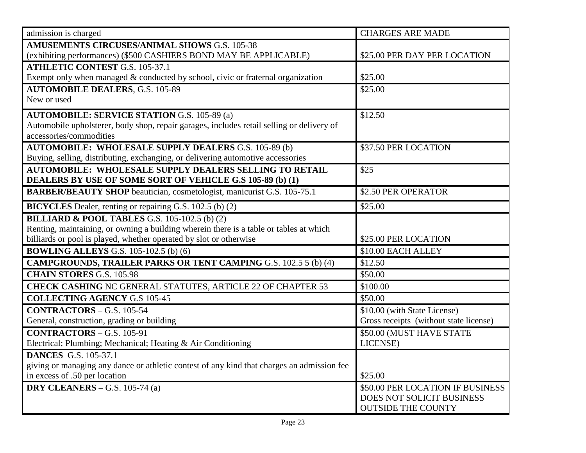| admission is charged                                                                       | <b>CHARGES ARE MADE</b>                |
|--------------------------------------------------------------------------------------------|----------------------------------------|
| <b>AMUSEMENTS CIRCUSES/ANIMAL SHOWS G.S. 105-38</b>                                        |                                        |
| (exhibiting performances) (\$500 CASHIERS BOND MAY BE APPLICABLE)                          | \$25.00 PER DAY PER LOCATION           |
| <b>ATHLETIC CONTEST G.S. 105-37.1</b>                                                      |                                        |
| Exempt only when managed & conducted by school, civic or fraternal organization            | \$25.00                                |
| <b>AUTOMOBILE DEALERS, G.S. 105-89</b>                                                     | \$25.00                                |
| New or used                                                                                |                                        |
| <b>AUTOMOBILE: SERVICE STATION G.S. 105-89 (a)</b>                                         | \$12.50                                |
| Automobile upholsterer, body shop, repair garages, includes retail selling or delivery of  |                                        |
| accessories/commodities                                                                    |                                        |
| <b>AUTOMOBILE: WHOLESALE SUPPLY DEALERS G.S. 105-89 (b)</b>                                | \$37.50 PER LOCATION                   |
| Buying, selling, distributing, exchanging, or delivering automotive accessories            |                                        |
| <b>AUTOMOBILE: WHOLESALE SUPPLY DEALERS SELLING TO RETAIL</b>                              | \$25                                   |
| DEALERS BY USE OF SOME SORT OF VEHICLE G.S 105-89 (b) (1)                                  |                                        |
| <b>BARBER/BEAUTY SHOP</b> beautician, cosmetologist, manicurist G.S. 105-75.1              | \$2.50 PER OPERATOR                    |
| BICYCLES Dealer, renting or repairing G.S. 102.5 (b) (2)                                   | \$25.00                                |
| <b>BILLIARD &amp; POOL TABLES G.S. 105-102.5 (b) (2)</b>                                   |                                        |
| Renting, maintaining, or owning a building wherein there is a table or tables at which     |                                        |
| billiards or pool is played, whether operated by slot or otherwise                         | \$25.00 PER LOCATION                   |
| <b>BOWLING ALLEYS G.S. 105-102.5 (b) (6)</b>                                               | \$10.00 EACH ALLEY                     |
| <b>CAMPGROUNDS, TRAILER PARKS OR TENT CAMPING G.S. 102.5 5 (b) (4)</b>                     | \$12.50                                |
| <b>CHAIN STORES G.S. 105.98</b>                                                            | \$50.00                                |
| <b>CHECK CASHING NC GENERAL STATUTES, ARTICLE 22 OF CHAPTER 53</b>                         | \$100.00                               |
| <b>COLLECTING AGENCY G.S 105-45</b>                                                        | \$50.00                                |
| $CONTRACTORS – G.S. 105-54$                                                                | \$10.00 (with State License)           |
| General, construction, grading or building                                                 | Gross receipts (without state license) |
| $CONTRACTORS – G.S. 105-91$                                                                | \$50.00 (MUST HAVE STATE               |
| Electrical; Plumbing; Mechanical; Heating & Air Conditioning                               | LICENSE)                               |
| <b>DANCES</b> G.S. 105-37.1                                                                |                                        |
| giving or managing any dance or athletic contest of any kind that charges an admission fee |                                        |
| in excess of .50 per location                                                              | \$25.00                                |
| DRY CLEANERS - G.S. 105-74 (a)                                                             | \$50.00 PER LOCATION IF BUSINESS       |
|                                                                                            | DOES NOT SOLICIT BUSINESS              |
|                                                                                            | <b>OUTSIDE THE COUNTY</b>              |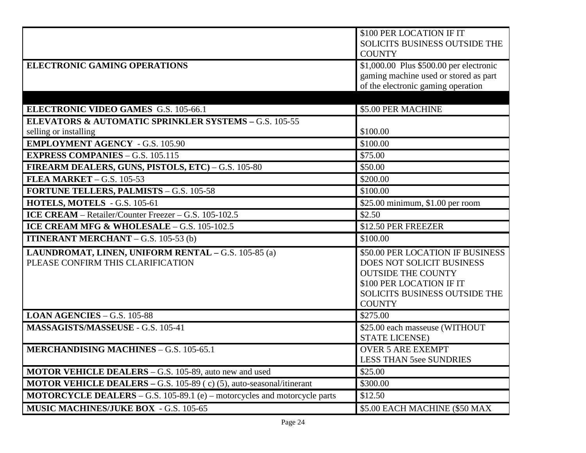|                                                                                                                    | \$100 PER LOCATION IF IT<br>SOLICITS BUSINESS OUTSIDE THE |
|--------------------------------------------------------------------------------------------------------------------|-----------------------------------------------------------|
|                                                                                                                    | <b>COUNTY</b>                                             |
| <b>ELECTRONIC GAMING OPERATIONS</b>                                                                                | \$1,000.00 Plus \$500.00 per electronic                   |
|                                                                                                                    | gaming machine used or stored as part                     |
|                                                                                                                    | of the electronic gaming operation                        |
|                                                                                                                    |                                                           |
| <b>ELECTRONIC VIDEO GAMES G.S. 105-66.1</b>                                                                        | \$5.00 PER MACHINE                                        |
| <b>ELEVATORS &amp; AUTOMATIC SPRINKLER SYSTEMS - G.S. 105-55</b>                                                   |                                                           |
| selling or installing                                                                                              | \$100.00                                                  |
| <b>EMPLOYMENT AGENCY - G.S. 105.90</b>                                                                             | \$100.00                                                  |
| <b>EXPRESS COMPANIES - G.S. 105.115</b>                                                                            | \$75.00                                                   |
| FIREARM DEALERS, GUNS, PISTOLS, ETC) - G.S. 105-80                                                                 | \$50.00                                                   |
| <b>FLEA MARKET - G.S. 105-53</b>                                                                                   | \$200.00                                                  |
| <b>FORTUNE TELLERS, PALMISTS - G.S. 105-58</b>                                                                     | \$100.00                                                  |
| HOTELS, MOTELS - G.S. 105-61                                                                                       | \$25.00 minimum, \$1.00 per room                          |
| ICE CREAM - Retailer/Counter Freezer - G.S. 105-102.5                                                              | \$2.50                                                    |
|                                                                                                                    |                                                           |
| ICE CREAM MFG & WHOLESALE - G.S. 105-102.5                                                                         | \$12.50 PER FREEZER                                       |
| <b>ITINERANT MERCHANT</b> $-$ G.S. 105-53 (b)                                                                      | \$100.00                                                  |
| LAUNDROMAT, LINEN, UNIFORM RENTAL - G.S. 105-85 (a)                                                                | \$50.00 PER LOCATION IF BUSINESS                          |
| PLEASE CONFIRM THIS CLARIFICATION                                                                                  | DOES NOT SOLICIT BUSINESS                                 |
|                                                                                                                    | <b>OUTSIDE THE COUNTY</b>                                 |
|                                                                                                                    | \$100 PER LOCATION IF IT                                  |
|                                                                                                                    | SOLICITS BUSINESS OUTSIDE THE                             |
|                                                                                                                    | <b>COUNTY</b>                                             |
| <b>LOAN AGENCIES</b> $-$ G.S. 105-88                                                                               | \$275.00                                                  |
| MASSAGISTS/MASSEUSE - G.S. 105-41                                                                                  | \$25.00 each masseuse (WITHOUT                            |
|                                                                                                                    | <b>STATE LICENSE)</b>                                     |
| <b>MERCHANDISING MACHINES - G.S. 105-65.1</b>                                                                      | <b>OVER 5 ARE EXEMPT</b>                                  |
|                                                                                                                    | <b>LESS THAN 5see SUNDRIES</b>                            |
| <b>MOTOR VEHICLE DEALERS</b> – G.S. 105-89, auto new and used                                                      | \$25.00                                                   |
| <b>MOTOR VEHICLE DEALERS – G.S. 105-89 (c) (5), auto-seasonal/itinerant</b>                                        | \$300.00                                                  |
| MOTORCYCLE DEALERS - G.S. 105-89.1 (e) - motorcycles and motorcycle parts<br>MUSIC MACHINES/JUKE BOX - G.S. 105-65 | \$12.50<br>\$5.00 EACH MACHINE (\$50 MAX                  |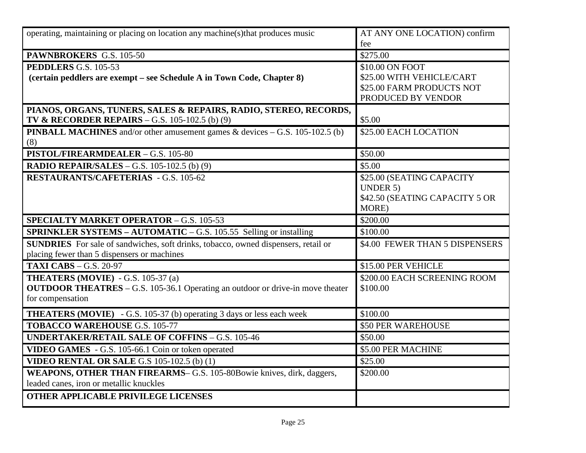| operating, maintaining or placing on location any machine(s) that produces music                          | AT ANY ONE LOCATION) confirm<br>fee      |
|-----------------------------------------------------------------------------------------------------------|------------------------------------------|
| PAWNBROKERS G.S. 105-50                                                                                   | \$275.00                                 |
| PEDDLERS G.S. 105-53                                                                                      | \$10.00 ON FOOT                          |
| (certain peddlers are exempt – see Schedule A in Town Code, Chapter 8)                                    | \$25.00 WITH VEHICLE/CART                |
|                                                                                                           | \$25.00 FARM PRODUCTS NOT                |
|                                                                                                           | PRODUCED BY VENDOR                       |
| PIANOS, ORGANS, TUNERS, SALES & REPAIRS, RADIO, STEREO, RECORDS,                                          |                                          |
| <b>TV &amp; RECORDER REPAIRS</b> – G.S. 105-102.5 (b) (9)                                                 | \$5.00                                   |
| <b>PINBALL MACHINES</b> and/or other amusement games $\&$ devices $-$ G.S. 105-102.5 (b)                  | \$25.00 EACH LOCATION                    |
| (8)                                                                                                       |                                          |
| PISTOL/FIREARMDEALER - G.S. 105-80                                                                        | \$50.00                                  |
| <b>RADIO REPAIR/SALES - G.S. 105-102.5 (b) (9)</b>                                                        | \$5.00                                   |
| <b>RESTAURANTS/CAFETERIAS - G.S. 105-62</b>                                                               | \$25.00 (SEATING CAPACITY                |
|                                                                                                           | <b>UNDER 5)</b>                          |
|                                                                                                           | \$42.50 (SEATING CAPACITY 5 OR<br>MORE)  |
| <b>SPECIALTY MARKET OPERATOR - G.S. 105-53</b>                                                            | \$200.00                                 |
|                                                                                                           |                                          |
| <b>SPRINKLER SYSTEMS – AUTOMATIC – G.S. 105.55 Selling or installing</b>                                  | \$100.00                                 |
| <b>SUNDRIES</b> For sale of sandwiches, soft drinks, tobacco, owned dispensers, retail or                 | \$4.00 FEWER THAN 5 DISPENSERS           |
| placing fewer than 5 dispensers or machines                                                               |                                          |
| <b>TAXI CABS - G.S. 20-97</b>                                                                             | \$15.00 PER VEHICLE                      |
| <b>THEATERS (MOVIE)</b> - G.S. 105-37 (a)                                                                 | \$200.00 EACH SCREENING ROOM<br>\$100.00 |
| <b>OUTDOOR THEATRES</b> – G.S. 105-36.1 Operating an outdoor or drive-in move theater<br>for compensation |                                          |
|                                                                                                           |                                          |
| <b>THEATERS (MOVIE)</b> - G.S. 105-37 (b) operating 3 days or less each week                              | \$100.00                                 |
| <b>TOBACCO WAREHOUSE G.S. 105-77</b>                                                                      | \$50 PER WAREHOUSE                       |
| <b>UNDERTAKER/RETAIL SALE OF COFFINS - G.S. 105-46</b>                                                    | \$50.00                                  |
| VIDEO GAMES - G.S. 105-66.1 Coin or token operated                                                        | \$5.00 PER MACHINE                       |
| <b>VIDEO RENTAL OR SALE G.S 105-102.5 (b) (1)</b>                                                         | \$25.00                                  |
| WEAPONS, OTHER THAN FIREARMS– G.S. 105-80Bowie knives, dirk, daggers,                                     | \$200.00                                 |
| leaded canes, iron or metallic knuckles                                                                   |                                          |
| <b>OTHER APPLICABLE PRIVILEGE LICENSES</b>                                                                |                                          |